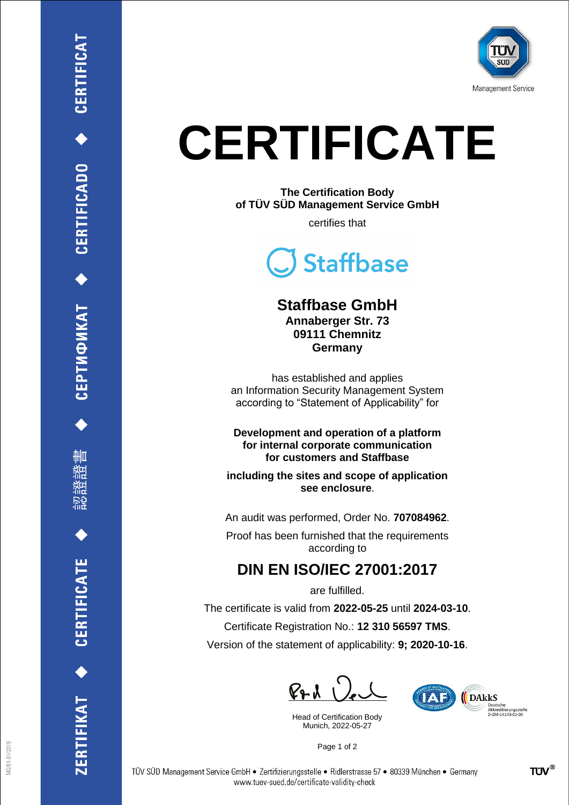

## **CERTIFICATE**

**The Certification Body of TÜV SÜD Management Service GmbH**

certifies that



## **Staffbase GmbH**

**Annaberger Str. 73 09111 Chemnitz Germany**

has established and applies an Information Security Management System according to "Statement of Applicability" for

**Development and operation of a platform for internal corporate communication for customers and Staffbase** 

**including the sites and scope of application see enclosure**.

An audit was performed, Order No. **707084962**.

Proof has been furnished that the requirements according to

## **DIN EN ISO/IEC 27001:2017**

are fulfilled.

The certificate is valid from **2022-05-25** until **2024-03-10**.

Certificate Registration No.: **12 310 56597 TMS**.

Version of the statement of applicability: **9; 2020-10-16**.

 $\mathbb{R}$ 

Head of Certification Body Munich, 2022-05-27



Page 1 of 2

CEPTMФИКАТ ◆ CERTIFICADO ◆ CERTIFICAT

ĦШ

CERTIFICATE

RTIFIKAT<sup>+</sup>